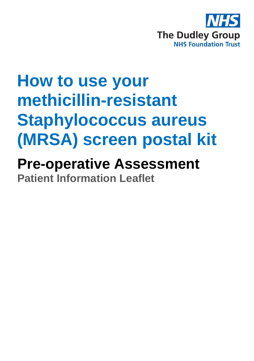

# **How to use your methicillin-resistant Staphylococcus aureus (MRSA) screen postal kit**

## **Pre-operative Assessment Patient Information Leaflet**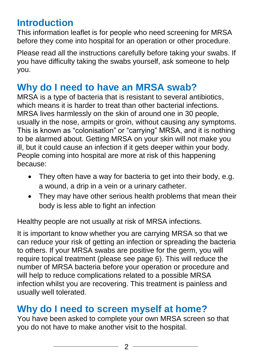## **Introduction**

This information leaflet is for people who need screening for MRSA before they come into hospital for an operation or other procedure.

Please read all the instructions carefully before taking your swabs. If you have difficulty taking the swabs yourself, ask someone to help you.

## **Why do I need to have an MRSA swab?**

MRSA is a type of bacteria that is resistant to several antibiotics, which means it is harder to treat than other bacterial infections. MRSA lives harmlessly on the skin of around one in 30 people, usually in the nose, armpits or groin, without causing any symptoms. This is known as "colonisation" or "carrying" MRSA, and it is nothing to be alarmed about. Getting MRSA on your skin will not make you ill, but it could cause an infection if it gets deeper within your body. People coming into hospital are more at risk of this happening because:

- They often have a way for bacteria to get into their body, e.g. a wound, a drip in a vein or a urinary catheter.
- They may have other serious health problems that mean their body is less able to fight an infection

Healthy people are not usually at risk of MRSA infections.

It is important to know whether you are carrying MRSA so that we can reduce your risk of getting an infection or spreading the bacteria to others. If your MRSA swabs are positive for the germ, you will require topical treatment (please see page 6). This will reduce the number of MRSA bacteria before your operation or procedure and will help to reduce complications related to a possible MRSA infection whilst you are recovering. This treatment is painless and usually well tolerated.

## **Why do I need to screen myself at home?**

You have been asked to complete your own MRSA screen so that you do not have to make another visit to the hospital.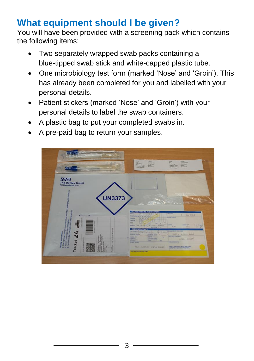## **What equipment should I be given?**

You will have been provided with a screening pack which contains the following items:

- Two separately wrapped swab packs containing a blue-tipped swab stick and white-capped plastic tube.
- One microbiology test form (marked 'Nose' and 'Groin'). This has already been completed for you and labelled with your personal details.
- Patient stickers (marked 'Nose' and 'Groin') with your personal details to label the swab containers.
- A plastic bag to put your completed swabs in.
- A pre-paid bag to return your samples.

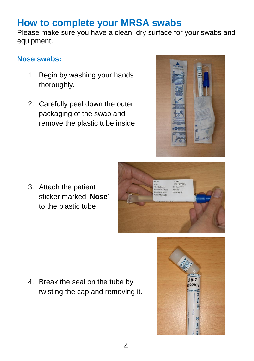## **How to complete your MRSA swabs**

Please make sure you have a clean, dry surface for your swabs and equipment.

#### **Nose swabs:**

- 1. Begin by washing your hands thoroughly.
- 2. Carefully peel down the outer packaging of the swab and remove the plastic tube inside.



3. Attach the patient sticker marked '**Nose**' to the plastic tube.



4. Break the seal on the tube by twisting the cap and removing it.

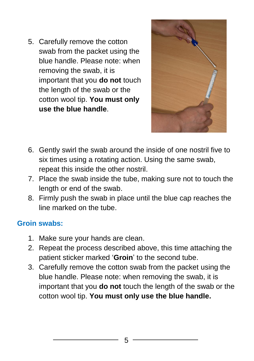5. Carefully remove the cotton swab from the packet using the blue handle. Please note: when removing the swab, it is important that you **do not** touch the length of the swab or the cotton wool tip. **You must only use the blue handle**.



- 6. Gently swirl the swab around the inside of one nostril five to six times using a rotating action. Using the same swab, repeat this inside the other nostril.
- 7. Place the swab inside the tube, making sure not to touch the length or end of the swab.
- 8. Firmly push the swab in place until the blue cap reaches the line marked on the tube.

#### **Groin swabs:**

- 1. Make sure your hands are clean.
- 2. Repeat the process described above, this time attaching the patient sticker marked '**Groin**' to the second tube.
- 3. Carefully remove the cotton swab from the packet using the blue handle. Please note: when removing the swab, it is important that you **do not** touch the length of the swab or the cotton wool tip. **You must only use the blue handle.**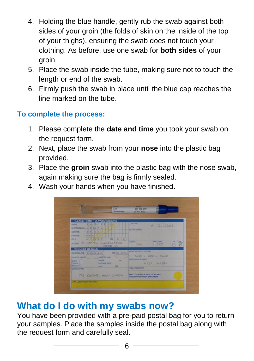- 4. Holding the blue handle, gently rub the swab against both sides of your groin (the folds of skin on the inside of the top of your thighs), ensuring the swab does not touch your clothing. As before, use one swab for **both sides** of your groin.
- 5. Place the swab inside the tube, making sure not to touch the length or end of the swab.
- 6. Firmly push the swab in place until the blue cap reaches the line marked on the tube.

#### **To complete the process:**

- 1. Please complete the **date and time** you took your swab on the request form.
- 2. Next, place the swab from your **nose** into the plastic bag provided.
- 3. Place the **groin** swab into the plastic bag with the nose swab, again making sure the bag is firmly sealed.
- 4. Wash your hands when you have finished.



## **What do I do with my swabs now?**

You have been provided with a pre-paid postal bag for you to return your samples. Place the samples inside the postal bag along with the request form and carefully seal.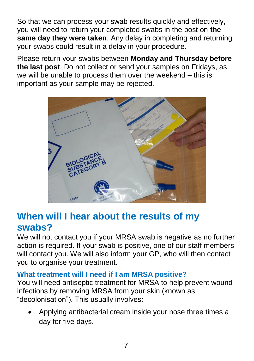So that we can process your swab results quickly and effectively, you will need to return your completed swabs in the post on **the same day they were taken**. Any delay in completing and returning your swabs could result in a delay in your procedure.

Please return your swabs between **Monday and Thursday before the last post**. Do not collect or send your samples on Fridays, as we will be unable to process them over the weekend – this is important as your sample may be rejected.



### **When will I hear about the results of my swabs?**

We will not contact you if your MRSA swab is negative as no further action is required. If your swab is positive, one of our staff members will contact you. We will also inform your GP, who will then contact you to organise your treatment.

#### **What treatment will I need if I am MRSA positive?**

You will need antiseptic treatment for MRSA to help prevent wound infections by removing MRSA from your skin (known as "decolonisation"). This usually involves:

 Applying antibacterial cream inside your nose three times a day for five days.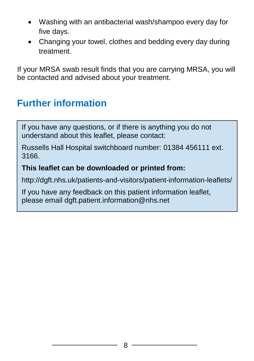- Washing with an antibacterial wash/shampoo every day for five days.
- Changing your towel, clothes and bedding every day during treatment.

If your MRSA swab result finds that you are carrying MRSA, you will be contacted and advised about your treatment.

## **Further information**

If you have any questions, or if there is anything you do not understand about this leaflet, please contact:

Russells Hall Hospital switchboard number: 01384 456111 ext. 3166.

#### **This leaflet can be downloaded or printed from:**

http://dgft.nhs.uk/patients-and-visitors/patient-information-leaflets/

If you have any feedback on this patient information leaflet, please email dgft.patient.information@nhs.net